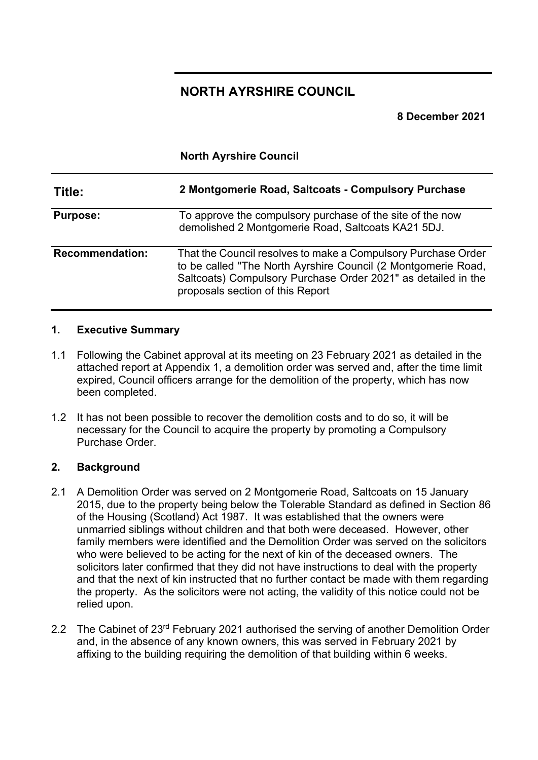# **NORTH AYRSHIRE COUNCIL**

**8 December 2021** 

**North Ayrshire Council**

| Title:                 | 2 Montgomerie Road, Saltcoats - Compulsory Purchase                                                                                                                                                                                 |
|------------------------|-------------------------------------------------------------------------------------------------------------------------------------------------------------------------------------------------------------------------------------|
| <b>Purpose:</b>        | To approve the compulsory purchase of the site of the now<br>demolished 2 Montgomerie Road, Saltcoats KA21 5DJ.                                                                                                                     |
| <b>Recommendation:</b> | That the Council resolves to make a Compulsory Purchase Order<br>to be called "The North Ayrshire Council (2 Montgomerie Road,<br>Saltcoats) Compulsory Purchase Order 2021" as detailed in the<br>proposals section of this Report |

## **1. Executive Summary**

- 1.1 Following the Cabinet approval at its meeting on 23 February 2021 as detailed in the attached report at Appendix 1, a demolition order was served and, after the time limit expired, Council officers arrange for the demolition of the property, which has now been completed.
- 1.2 It has not been possible to recover the demolition costs and to do so, it will be necessary for the Council to acquire the property by promoting a Compulsory Purchase Order.

## **2. Background**

- 2.1 A Demolition Order was served on 2 Montgomerie Road, Saltcoats on 15 January 2015, due to the property being below the Tolerable Standard as defined in Section 86 of the Housing (Scotland) Act 1987. It was established that the owners were unmarried siblings without children and that both were deceased. However, other family members were identified and the Demolition Order was served on the solicitors who were believed to be acting for the next of kin of the deceased owners. The solicitors later confirmed that they did not have instructions to deal with the property and that the next of kin instructed that no further contact be made with them regarding the property. As the solicitors were not acting, the validity of this notice could not be relied upon.
- 2.2 The Cabinet of 23<sup>rd</sup> February 2021 authorised the serving of another Demolition Order and, in the absence of any known owners, this was served in February 2021 by affixing to the building requiring the demolition of that building within 6 weeks.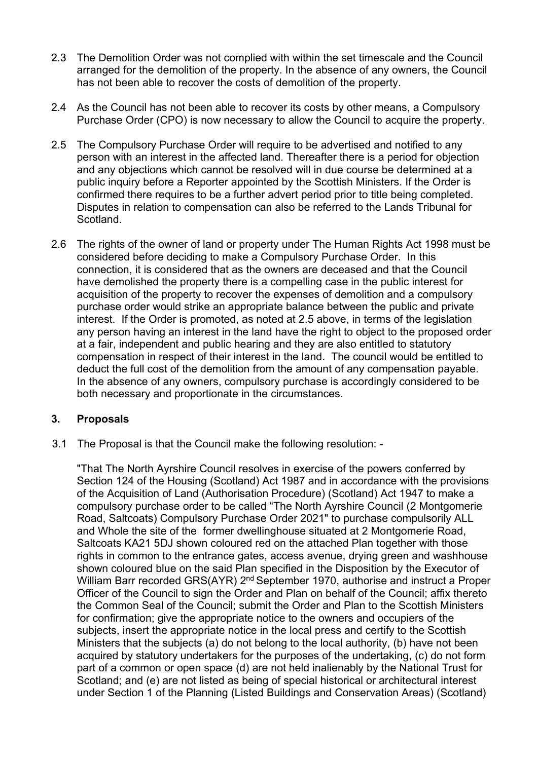- 2.3 The Demolition Order was not complied with within the set timescale and the Council arranged for the demolition of the property. In the absence of any owners, the Council has not been able to recover the costs of demolition of the property.
- 2.4 As the Council has not been able to recover its costs by other means, a Compulsory Purchase Order (CPO) is now necessary to allow the Council to acquire the property.
- 2.5 The Compulsory Purchase Order will require to be advertised and notified to any person with an interest in the affected land. Thereafter there is a period for objection and any objections which cannot be resolved will in due course be determined at a public inquiry before a Reporter appointed by the Scottish Ministers. If the Order is confirmed there requires to be a further advert period prior to title being completed. Disputes in relation to compensation can also be referred to the Lands Tribunal for Scotland.
- 2.6 The rights of the owner of land or property under The Human Rights Act 1998 must be considered before deciding to make a Compulsory Purchase Order. In this connection, it is considered that as the owners are deceased and that the Council have demolished the property there is a compelling case in the public interest for acquisition of the property to recover the expenses of demolition and a compulsory purchase order would strike an appropriate balance between the public and private interest. If the Order is promoted, as noted at 2.5 above, in terms of the legislation any person having an interest in the land have the right to object to the proposed order at a fair, independent and public hearing and they are also entitled to statutory compensation in respect of their interest in the land. The council would be entitled to deduct the full cost of the demolition from the amount of any compensation payable. In the absence of any owners, compulsory purchase is accordingly considered to be both necessary and proportionate in the circumstances.

# **3. Proposals**

3.1 The Proposal is that the Council make the following resolution: -

"That The North Ayrshire Council resolves in exercise of the powers conferred by Section 124 of the Housing (Scotland) Act 1987 and in accordance with the provisions of the Acquisition of Land (Authorisation Procedure) (Scotland) Act 1947 to make a compulsory purchase order to be called "The North Ayrshire Council (2 Montgomerie Road, Saltcoats) Compulsory Purchase Order 2021" to purchase compulsorily ALL and Whole the site of the former dwellinghouse situated at 2 Montgomerie Road, Saltcoats KA21 5DJ shown coloured red on the attached Plan together with those rights in common to the entrance gates, access avenue, drying green and washhouse shown coloured blue on the said Plan specified in the Disposition by the Executor of William Barr recorded GRS(AYR) 2<sup>nd</sup> September 1970, authorise and instruct a Proper Officer of the Council to sign the Order and Plan on behalf of the Council; affix thereto the Common Seal of the Council; submit the Order and Plan to the Scottish Ministers for confirmation; give the appropriate notice to the owners and occupiers of the subjects, insert the appropriate notice in the local press and certify to the Scottish Ministers that the subjects (a) do not belong to the local authority, (b) have not been acquired by statutory undertakers for the purposes of the undertaking, (c) do not form part of a common or open space (d) are not held inalienably by the National Trust for Scotland; and (e) are not listed as being of special historical or architectural interest under Section 1 of the Planning (Listed Buildings and Conservation Areas) (Scotland)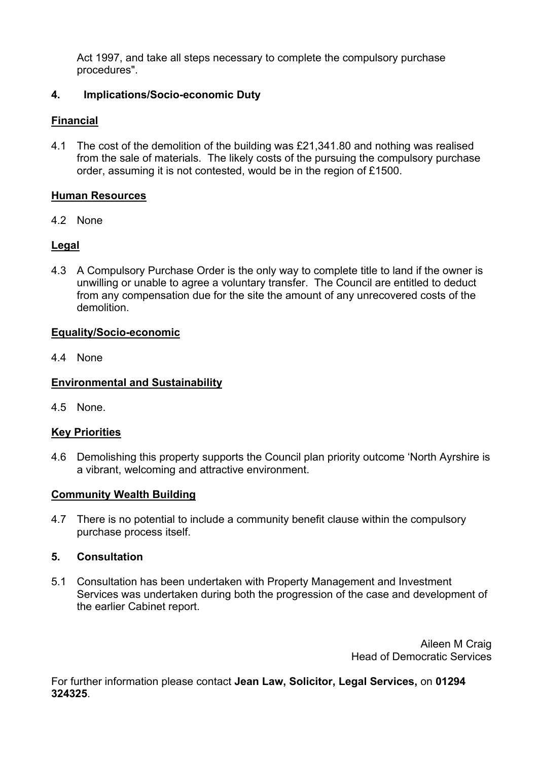Act 1997, and take all steps necessary to complete the compulsory purchase procedures".

## **4. Implications/Socio-economic Duty**

## **Financial**

4.1 The cost of the demolition of the building was £21,341.80 and nothing was realised from the sale of materials. The likely costs of the pursuing the compulsory purchase order, assuming it is not contested, would be in the region of £1500.

## **Human Resources**

4.2 None

# **Legal**

4.3 A Compulsory Purchase Order is the only way to complete title to land if the owner is unwilling or unable to agree a voluntary transfer. The Council are entitled to deduct from any compensation due for the site the amount of any unrecovered costs of the demolition.

## **Equality/Socio-economic**

4.4 None

## **Environmental and Sustainability**

4.5 None.

## **Key Priorities**

4.6 Demolishing this property supports the Council plan priority outcome 'North Ayrshire is a vibrant, welcoming and attractive environment.

## **Community Wealth Building**

4.7 There is no potential to include a community benefit clause within the compulsory purchase process itself.

## **5. Consultation**

5.1 Consultation has been undertaken with Property Management and Investment Services was undertaken during both the progression of the case and development of the earlier Cabinet report.

> Aileen M Craig Head of Democratic Services

For further information please contact **Jean Law, Solicitor, Legal Services,** on **01294 324325**.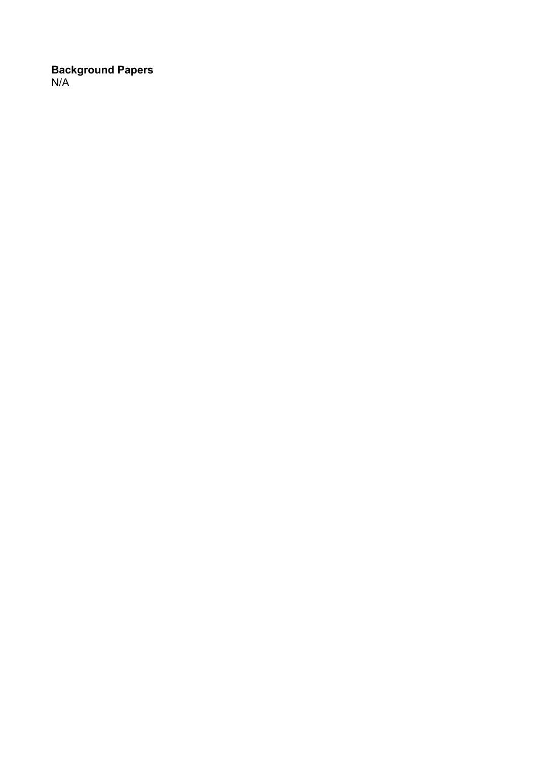## **Background Papers** N/A